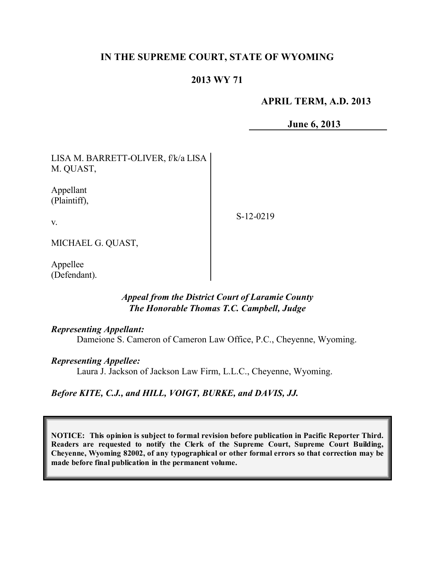# **IN THE SUPREME COURT, STATE OF WYOMING**

## **2013 WY 71**

## **APRIL TERM, A.D. 2013**

**June 6, 2013**

| LISA M. BARRETT-OLIVER, f/k/a LISA<br>M. QUAST, |  |
|-------------------------------------------------|--|
| Appellant<br>(Plaintiff),                       |  |
|                                                 |  |

S-12-0219

MICHAEL G. QUAST,

Appellee (Defendant).

## *Appeal from the District Court of Laramie County The Honorable Thomas T.C. Campbell, Judge*

#### *Representing Appellant:*

Dameione S. Cameron of Cameron Law Office, P.C., Cheyenne, Wyoming.

#### *Representing Appellee:*

Laura J. Jackson of Jackson Law Firm, L.L.C., Cheyenne, Wyoming.

#### *Before KITE, C.J., and HILL, VOIGT, BURKE, and DAVIS, JJ.*

**NOTICE: This opinion is subject to formal revision before publication in Pacific Reporter Third. Readers are requested to notify the Clerk of the Supreme Court, Supreme Court Building, Cheyenne, Wyoming 82002, of any typographical or other formal errors so that correction may be made before final publication in the permanent volume.**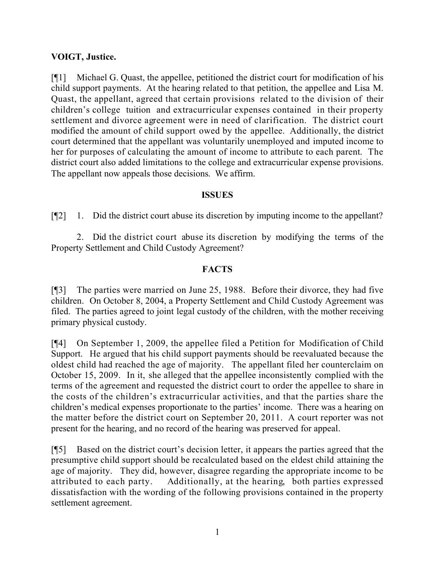## **VOIGT, Justice.**

[¶1] Michael G. Quast, the appellee, petitioned the district court for modification of his child support payments. At the hearing related to that petition, the appellee and Lisa M. Quast, the appellant, agreed that certain provisions related to the division of their children's college tuition and extracurricular expenses contained in their property settlement and divorce agreement were in need of clarification. The district court modified the amount of child support owed by the appellee. Additionally, the district court determined that the appellant was voluntarily unemployed and imputed income to her for purposes of calculating the amount of income to attribute to each parent. The district court also added limitations to the college and extracurricular expense provisions. The appellant now appeals those decisions. We affirm.

#### **ISSUES**

[¶2] 1. Did the district court abuse its discretion by imputing income to the appellant?

2. Did the district court abuse its discretion by modifying the terms of the Property Settlement and Child Custody Agreement?

## **FACTS**

[¶3] The parties were married on June 25, 1988. Before their divorce, they had five children. On October 8, 2004, a Property Settlement and Child Custody Agreement was filed. The parties agreed to joint legal custody of the children, with the mother receiving primary physical custody.

[¶4] On September 1, 2009, the appellee filed a Petition for Modification of Child Support. He argued that his child support payments should be reevaluated because the oldest child had reached the age of majority. The appellant filed her counterclaim on October 15, 2009. In it, she alleged that the appellee inconsistently complied with the terms of the agreement and requested the district court to order the appellee to share in the costs of the children's extracurricular activities, and that the parties share the children's medical expenses proportionate to the parties' income. There was a hearing on the matter before the district court on September 20, 2011. A court reporter was not present for the hearing, and no record of the hearing was preserved for appeal.

[¶5] Based on the district court's decision letter, it appears the parties agreed that the presumptive child support should be recalculated based on the eldest child attaining the age of majority. They did, however, disagree regarding the appropriate income to be attributed to each party. Additionally, at the hearing, both parties expressed dissatisfaction with the wording of the following provisions contained in the property settlement agreement.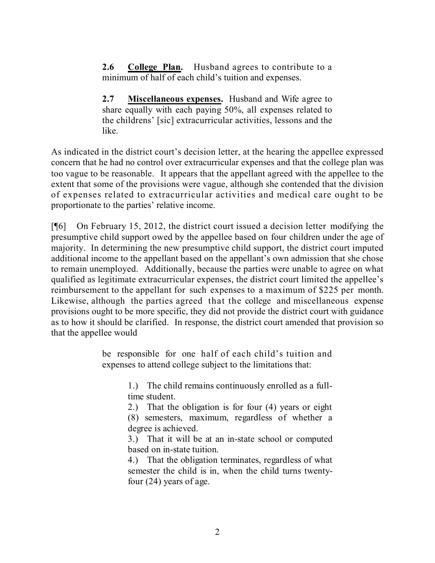**2.6 College Plan.** Husband agrees to contribute to a minimum of half of each child's tuition and expenses.

**2.7 Miscellaneous expenses.** Husband and Wife agree to share equally with each paying 50%, all expenses related to the childrens' [sic] extracurricular activities, lessons and the like.

As indicated in the district court's decision letter, at the hearing the appellee expressed concern that he had no control over extracurricular expenses and that the college plan was too vague to be reasonable. It appears that the appellant agreed with the appellee to the extent that some of the provisions were vague, although she contended that the division of expenses related to extracurricular activities and medical care ought to be proportionate to the parties' relative income.

[¶6] On February 15, 2012, the district court issued a decision letter modifying the presumptive child support owed by the appellee based on four children under the age of majority. In determining the new presumptive child support, the district court imputed additional income to the appellant based on the appellant's own admission that she chose to remain unemployed. Additionally, because the parties were unable to agree on what qualified as legitimate extracurricular expenses, the district court limited the appellee's reimbursement to the appellant for such expenses to a maximum of \$225 per month. Likewise, although the parties agreed that the college and miscellaneous expense provisions ought to be more specific, they did not provide the district court with guidance as to how it should be clarified. In response, the district court amended that provision so that the appellee would

> be responsible for one half of each child's tuition and expenses to attend college subject to the limitations that:

> > 1.) The child remains continuously enrolled as a fulltime student.

> > 2.) That the obligation is for four (4) years or eight (8) semesters, maximum, regardless of whether a degree is achieved.

> > 3.) That it will be at an in-state school or computed based on in-state tuition.

> > 4.) That the obligation terminates, regardless of what semester the child is in, when the child turns twentyfour (24) years of age.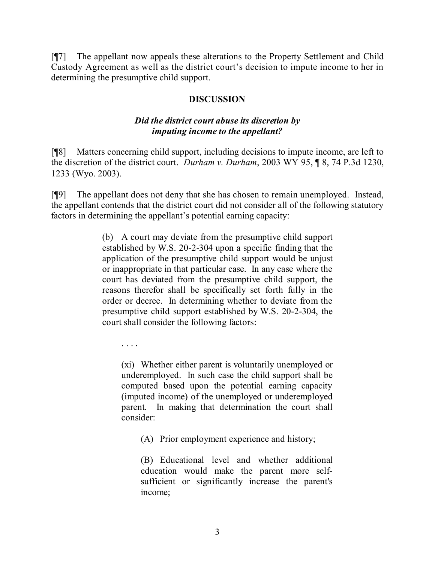[¶7] The appellant now appeals these alterations to the Property Settlement and Child Custody Agreement as well as the district court's decision to impute income to her in determining the presumptive child support.

#### **DISCUSSION**

## *Did the district court abuse its discretion by imputing income to the appellant?*

[¶8] Matters concerning child support, including decisions to impute income, are left to the discretion of the district court. *Durham v. Durham*, 2003 WY 95, ¶ 8, 74 P.3d 1230, 1233 (Wyo. 2003).

[¶9] The appellant does not deny that she has chosen to remain unemployed. Instead, the appellant contends that the district court did not consider all of the following statutory factors in determining the appellant's potential earning capacity:

> (b) A court may deviate from the presumptive child support established by W.S. 20-2-304 upon a specific finding that the application of the presumptive child support would be unjust or inappropriate in that particular case. In any case where the court has deviated from the presumptive child support, the reasons therefor shall be specifically set forth fully in the order or decree. In determining whether to deviate from the presumptive child support established by W.S. 20-2-304, the court shall consider the following factors:

. . . .

(xi) Whether either parent is voluntarily unemployed or underemployed. In such case the child support shall be computed based upon the potential earning capacity (imputed income) of the unemployed or underemployed parent. In making that determination the court shall consider:

(A) Prior employment experience and history;

(B) Educational level and whether additional education would make the parent more selfsufficient or significantly increase the parent's income;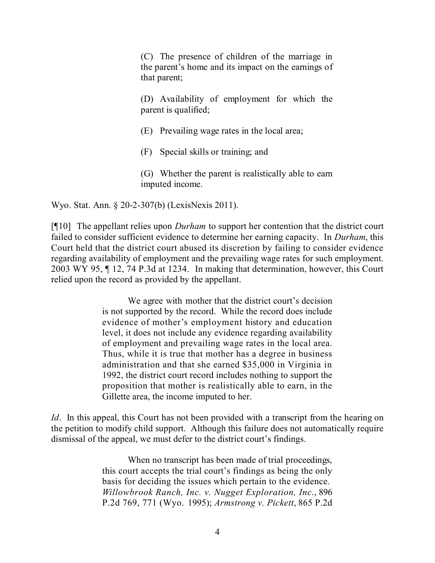(C) The presence of children of the marriage in the parent's home and its impact on the earnings of that parent;

(D) Availability of employment for which the parent is qualified;

(E) Prevailing wage rates in the local area;

(F) Special skills or training; and

(G) Whether the parent is realistically able to earn imputed income.

Wyo. Stat. Ann. § 20-2-307(b) (LexisNexis 2011).

[¶10] The appellant relies upon *Durham* to support her contention that the district court failed to consider sufficient evidence to determine her earning capacity. In *Durham*, this Court held that the district court abused its discretion by failing to consider evidence regarding availability of employment and the prevailing wage rates for such employment. 2003 WY 95, ¶ 12, 74 P.3d at 1234. In making that determination, however, this Court relied upon the record as provided by the appellant.

> We agree with mother that the district court's decision is not supported by the record. While the record does include evidence of mother's employment history and education level, it does not include any evidence regarding availability of employment and prevailing wage rates in the local area. Thus, while it is true that mother has a degree in business administration and that she earned \$35,000 in Virginia in 1992, the district court record includes nothing to support the proposition that mother is realistically able to earn, in the Gillette area, the income imputed to her.

*Id*. In this appeal, this Court has not been provided with a transcript from the hearing on the petition to modify child support. Although this failure does not automatically require dismissal of the appeal, we must defer to the district court's findings.

> When no transcript has been made of trial proceedings, this court accepts the trial court's findings as being the only basis for deciding the issues which pertain to the evidence. *Willowbrook Ranch, Inc. v. Nugget Exploration, Inc.*, 896 P.2d 769, 771 (Wyo. 1995); *Armstrong v. Pickett*, 865 P.2d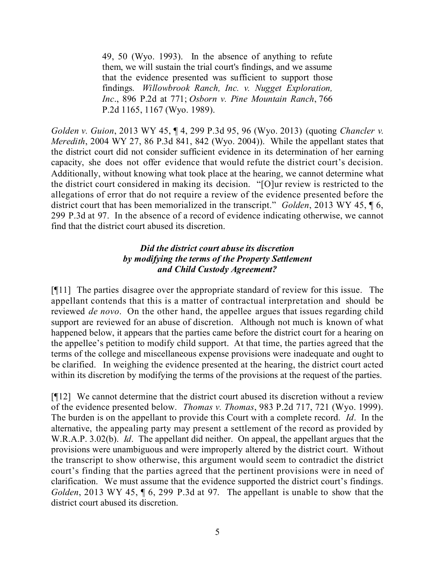49, 50 (Wyo. 1993). In the absence of anything to refute them, we will sustain the trial court's findings, and we assume that the evidence presented was sufficient to support those findings. *Willowbrook Ranch, Inc. v. Nugget Exploration, Inc*., 896 P.2d at 771; *Osborn v. Pine Mountain Ranch*, 766 P.2d 1165, 1167 (Wyo. 1989).

*Golden v. Guion*, 2013 WY 45, ¶ 4, 299 P.3d 95, 96 (Wyo. 2013) (quoting *Chancler v. Meredith*, 2004 WY 27, 86 P.3d 841, 842 (Wyo. 2004)). While the appellant states that the district court did not consider sufficient evidence in its determination of her earning capacity, she does not offer evidence that would refute the district court's decision. Additionally, without knowing what took place at the hearing, we cannot determine what the district court considered in making its decision. "[O]ur review is restricted to the allegations of error that do not require a review of the evidence presented before the district court that has been memorialized in the transcript." *Golden*, 2013 WY 45, ¶ 6, 299 P.3d at 97. In the absence of a record of evidence indicating otherwise, we cannot find that the district court abused its discretion.

## *Did the district court abuse its discretion by modifying the terms of the Property Settlement and Child Custody Agreement?*

[¶11] The parties disagree over the appropriate standard of review for this issue. The appellant contends that this is a matter of contractual interpretation and should be reviewed *de novo*. On the other hand, the appellee argues that issues regarding child support are reviewed for an abuse of discretion. Although not much is known of what happened below, it appears that the parties came before the district court for a hearing on the appellee's petition to modify child support. At that time, the parties agreed that the terms of the college and miscellaneous expense provisions were inadequate and ought to be clarified. In weighing the evidence presented at the hearing, the district court acted within its discretion by modifying the terms of the provisions at the request of the parties.

[¶12] We cannot determine that the district court abused its discretion without a review of the evidence presented below. *Thomas v. Thomas*, 983 P.2d 717, 721 (Wyo. 1999). The burden is on the appellant to provide this Court with a complete record. *Id*. In the alternative, the appealing party may present a settlement of the record as provided by W.R.A.P. 3.02(b). *Id*. The appellant did neither. On appeal, the appellant argues that the provisions were unambiguous and were improperly altered by the district court. Without the transcript to show otherwise, this argument would seem to contradict the district court's finding that the parties agreed that the pertinent provisions were in need of clarification. We must assume that the evidence supported the district court's findings. *Golden*, 2013 WY 45, ¶ 6, 299 P.3d at 97. The appellant is unable to show that the district court abused its discretion.